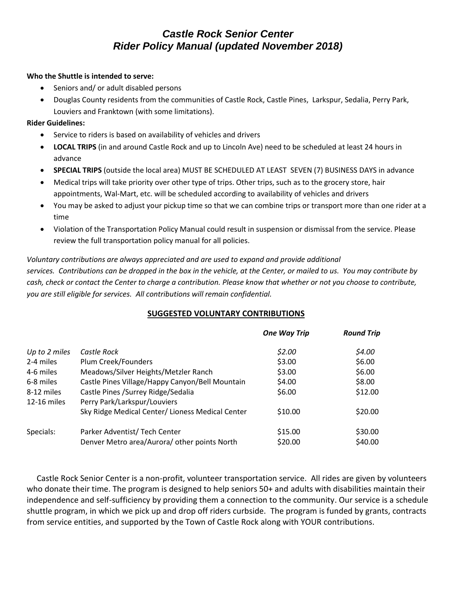# *Castle Rock Senior Center Rider Policy Manual (updated November 2018)*

## **Who the Shuttle is intended to serve:**

- Seniors and/ or adult disabled persons
- Douglas County residents from the communities of Castle Rock, Castle Pines, Larkspur, Sedalia, Perry Park, Louviers and Franktown (with some limitations).

## **Rider Guidelines:**

- Service to riders is based on availability of vehicles and drivers
- **LOCAL TRIPS** (in and around Castle Rock and up to Lincoln Ave) need to be scheduled at least 24 hours in advance
- **SPECIAL TRIPS** (outside the local area) MUST BE SCHEDULED AT LEAST SEVEN (7) BUSINESS DAYS in advance
- Medical trips will take priority over other type of trips. Other trips, such as to the grocery store, hair appointments, Wal-Mart, etc. will be scheduled according to availability of vehicles and drivers
- You may be asked to adjust your pickup time so that we can combine trips or transport more than one rider at a time
- Violation of the Transportation Policy Manual could result in suspension or dismissal from the service. Please review the full transportation policy manual for all policies.

## *Voluntary contributions are always appreciated and are used to expand and provide additional services. Contributions can be dropped in the box in the vehicle, at the Center, or mailed to us. You may contribute by cash, check or contact the Center to charge a contribution. Please know that whether or not you choose to contribute, you are still eligible for services. All contributions will remain confidential.*

## **SUGGESTED VOLUNTARY CONTRIBUTIONS**

|                           |                                                                     | <b>One Way Trip</b> | <b>Round Trip</b> |
|---------------------------|---------------------------------------------------------------------|---------------------|-------------------|
| Up to 2 miles             | Castle Rock                                                         | \$2.00              | \$4.00            |
| 2-4 miles                 | Plum Creek/Founders                                                 | \$3.00              | \$6.00            |
| 4-6 miles                 | Meadows/Silver Heights/Metzler Ranch                                | \$3.00              | \$6.00            |
| 6-8 miles                 | Castle Pines Village/Happy Canyon/Bell Mountain                     | \$4.00              | \$8.00            |
| 8-12 miles<br>12-16 miles | Castle Pines / Surrey Ridge/Sedalia<br>Perry Park/Larkspur/Louviers | \$6.00              | \$12.00           |
|                           | Sky Ridge Medical Center/ Lioness Medical Center                    | \$10.00             | \$20.00           |
| Specials:                 | Parker Adventist/ Tech Center                                       | \$15.00             | \$30.00           |
|                           | Denver Metro area/Aurora/ other points North                        | \$20.00             | \$40.00           |

 Castle Rock Senior Center is a non-profit, volunteer transportation service. All rides are given by volunteers who donate their time. The program is designed to help seniors 50+ and adults with disabilities maintain their independence and self-sufficiency by providing them a connection to the community. Our service is a schedule shuttle program, in which we pick up and drop off riders curbside. The program is funded by grants, contracts from service entities, and supported by the Town of Castle Rock along with YOUR contributions.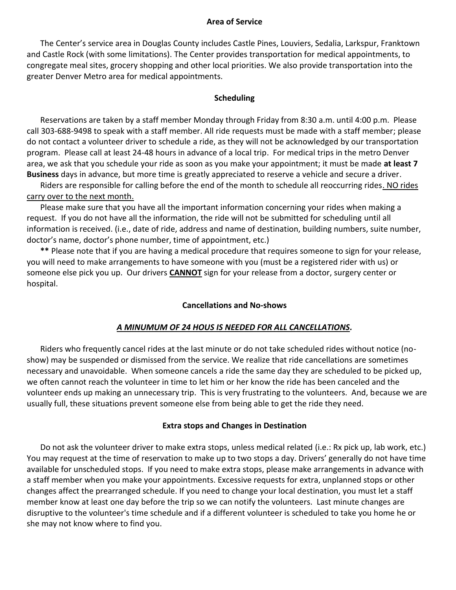## **Area of Service**

The Center's service area in Douglas County includes Castle Pines, Louviers, Sedalia, Larkspur, Franktown and Castle Rock (with some limitations). The Center provides transportation for medical appointments, to congregate meal sites, grocery shopping and other local priorities. We also provide transportation into the greater Denver Metro area for medical appointments.

## **Scheduling**

Reservations are taken by a staff member Monday through Friday from 8:30 a.m. until 4:00 p.m. Please call 303-688-9498 to speak with a staff member. All ride requests must be made with a staff member; please do not contact a volunteer driver to schedule a ride, as they will not be acknowledged by our transportation program. Please call at least 24-48 hours in advance of a local trip. For medical trips in the metro Denver area, we ask that you schedule your ride as soon as you make your appointment; it must be made **at least 7 Business** days in advance, but more time is greatly appreciated to reserve a vehicle and secure a driver.

Riders are responsible for calling before the end of the month to schedule all reoccurring rides. NO rides carry over to the next month.

Please make sure that you have all the important information concerning your rides when making a request. If you do not have all the information, the ride will not be submitted for scheduling until all information is received. (i.e., date of ride, address and name of destination, building numbers, suite number, doctor's name, doctor's phone number, time of appointment, etc.)

**\*\*** Please note that if you are having a medical procedure that requires someone to sign for your release, you will need to make arrangements to have someone with you (must be a registered rider with us) or someone else pick you up. Our drivers **CANNOT** sign for your release from a doctor, surgery center or hospital.

## **Cancellations and No-shows**

## *A MINUMUM OF 24 HOUS IS NEEDED FOR ALL CANCELLATIONS.*

Riders who frequently cancel rides at the last minute or do not take scheduled rides without notice (noshow) may be suspended or dismissed from the service. We realize that ride cancellations are sometimes necessary and unavoidable. When someone cancels a ride the same day they are scheduled to be picked up, we often cannot reach the volunteer in time to let him or her know the ride has been canceled and the volunteer ends up making an unnecessary trip. This is very frustrating to the volunteers. And, because we are usually full, these situations prevent someone else from being able to get the ride they need.

## **Extra stops and Changes in Destination**

Do not ask the volunteer driver to make extra stops, unless medical related (i.e.: Rx pick up, lab work, etc.) You may request at the time of reservation to make up to two stops a day. Drivers' generally do not have time available for unscheduled stops. If you need to make extra stops, please make arrangements in advance with a staff member when you make your appointments. Excessive requests for extra, unplanned stops or other changes affect the prearranged schedule. If you need to change your local destination, you must let a staff member know at least one day before the trip so we can notify the volunteers. Last minute changes are disruptive to the volunteer's time schedule and if a different volunteer is scheduled to take you home he or she may not know where to find you.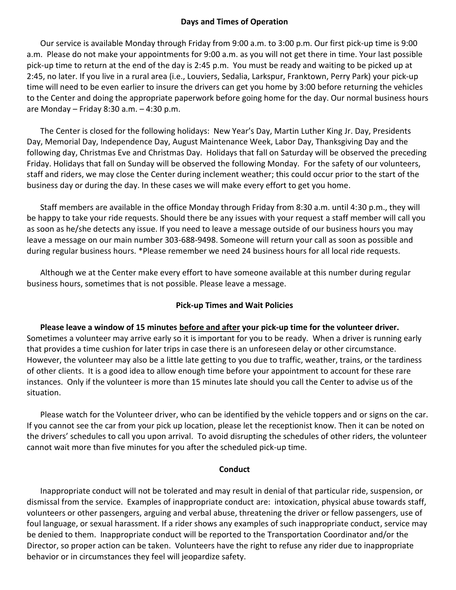## **Days and Times of Operation**

Our service is available Monday through Friday from 9:00 a.m. to 3:00 p.m. Our first pick-up time is 9:00 a.m. Please do not make your appointments for 9:00 a.m. as you will not get there in time. Your last possible pick-up time to return at the end of the day is 2:45 p.m. You must be ready and waiting to be picked up at 2:45, no later. If you live in a rural area (i.e., Louviers, Sedalia, Larkspur, Franktown, Perry Park) your pick-up time will need to be even earlier to insure the drivers can get you home by 3:00 before returning the vehicles to the Center and doing the appropriate paperwork before going home for the day. Our normal business hours are Monday – Friday 8:30 a.m. – 4:30 p.m.

The Center is closed for the following holidays: New Year's Day, Martin Luther King Jr. Day, Presidents Day, Memorial Day, Independence Day, August Maintenance Week, Labor Day, Thanksgiving Day and the following day, Christmas Eve and Christmas Day. Holidays that fall on Saturday will be observed the preceding Friday. Holidays that fall on Sunday will be observed the following Monday. For the safety of our volunteers, staff and riders, we may close the Center during inclement weather; this could occur prior to the start of the business day or during the day. In these cases we will make every effort to get you home.

Staff members are available in the office Monday through Friday from 8:30 a.m. until 4:30 p.m., they will be happy to take your ride requests. Should there be any issues with your request a staff member will call you as soon as he/she detects any issue. If you need to leave a message outside of our business hours you may leave a message on our main number 303-688-9498. Someone will return your call as soon as possible and during regular business hours. \*Please remember we need 24 business hours for all local ride requests.

Although we at the Center make every effort to have someone available at this number during regular business hours, sometimes that is not possible. Please leave a message.

## **Pick-up Times and Wait Policies**

**Please leave a window of 15 minutes before and after your pick-up time for the volunteer driver.**  Sometimes a volunteer may arrive early so it is important for you to be ready. When a driver is running early that provides a time cushion for later trips in case there is an unforeseen delay or other circumstance. However, the volunteer may also be a little late getting to you due to traffic, weather, trains, or the tardiness of other clients. It is a good idea to allow enough time before your appointment to account for these rare instances. Only if the volunteer is more than 15 minutes late should you call the Center to advise us of the situation.

Please watch for the Volunteer driver, who can be identified by the vehicle toppers and or signs on the car. If you cannot see the car from your pick up location, please let the receptionist know. Then it can be noted on the drivers' schedules to call you upon arrival. To avoid disrupting the schedules of other riders, the volunteer cannot wait more than five minutes for you after the scheduled pick-up time.

## **Conduct**

Inappropriate conduct will not be tolerated and may result in denial of that particular ride, suspension, or dismissal from the service. Examples of inappropriate conduct are: intoxication, physical abuse towards staff, volunteers or other passengers, arguing and verbal abuse, threatening the driver or fellow passengers, use of foul language, or sexual harassment. If a rider shows any examples of such inappropriate conduct, service may be denied to them. Inappropriate conduct will be reported to the Transportation Coordinator and/or the Director, so proper action can be taken. Volunteers have the right to refuse any rider due to inappropriate behavior or in circumstances they feel will jeopardize safety.